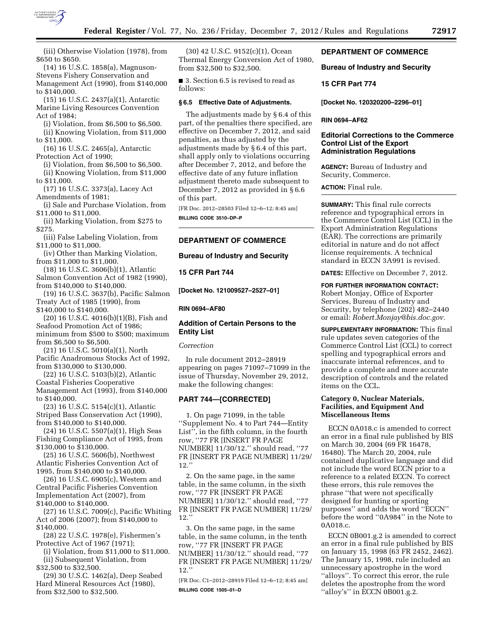

(iii) Otherwise Violation (1978), from \$650 to \$650.

(14) 16 U.S.C. 1858(a), Magnuson-Stevens Fishery Conservation and Management Act (1990), from \$140,000 to \$140,000.

(15) 16 U.S.C. 2437(a)(1), Antarctic Marine Living Resources Convention Act of 1984;

(i) Violation, from \$6,500 to \$6,500. (ii) Knowing Violation, from \$11,000 to \$11,000.

(16) 16 U.S.C. 2465(a), Antarctic Protection Act of 1990;

(i) Violation, from \$6,500 to \$6,500. (ii) Knowing Violation, from \$11,000 to \$11,000.

(17) 16 U.S.C. 3373(a), Lacey Act Amendments of 1981;

(i) Sale and Purchase Violation, from \$11,000 to \$11,000.

(ii) Marking Violation, from \$275 to \$275.

(iii) False Labeling Violation, from \$11,000 to \$11,000.

(iv) Other than Marking Violation, from \$11,000 to \$11,000.

(18) 16 U.S.C. 3606(b)(1), Atlantic Salmon Convention Act of 1982 (1990), from \$140,000 to \$140,000.

(19) 16 U.S.C. 3637(b), Pacific Salmon Treaty Act of 1985 (1990), from \$140,000 to \$140,000.

(20) 16 U.S.C. 4016(b)(1)(B), Fish and Seafood Promotion Act of 1986; minimum from \$500 to \$500; maximum from \$6,500 to \$6,500.

(21) 16 U.S.C. 5010(a)(1), North Pacific Anadromous Stocks Act of 1992, from \$130,000 to \$130,000.

(22) 16 U.S.C. 5103(b)(2), Atlantic Coastal Fisheries Cooperative Management Act (1993), from \$140,000 to \$140,000.

(23) 16 U.S.C. 5154(c)(1), Atlantic Striped Bass Conservation Act (1990), from \$140,000 to \$140,000.

(24) 16 U.S.C. 5507(a)(1), High Seas Fishing Compliance Act of 1995, from \$130,000 to \$130,000.

(25) 16 U.S.C. 5606(b), Northwest Atlantic Fisheries Convention Act of 1995, from \$140,000 to \$140,000.

(26) 16 U.S.C. 6905(c), Western and Central Pacific Fisheries Convention Implementation Act (2007), from \$140,000 to \$140,000.

(27) 16 U.S.C. 7009(c), Pacific Whiting Act of 2006 (2007); from \$140,000 to \$140,000.

(28) 22 U.S.C. 1978(e), Fishermen's Protective Act of 1967 (1971);

(i) Violation, from \$11,000 to \$11,000. (ii) Subsequent Violation, from \$32,500 to \$32,500.

(29) 30 U.S.C. 1462(a), Deep Seabed Hard Mineral Resources Act (1980), from \$32,500 to \$32,500.

(30) 42 U.S.C. 9152(c)(1), Ocean Thermal Energy Conversion Act of 1980, from \$32,500 to \$32,500.

■ 3. Section 6.5 is revised to read as follows:

## **§ 6.5 Effective Date of Adjustments.**

The adjustments made by § 6.4 of this part, of the penalties there specified, are effective on December 7, 2012, and said penalties, as thus adjusted by the adjustments made by § 6.4 of this part, shall apply only to violations occurring after December 7, 2012, and before the effective date of any future inflation adjustment thereto made subsequent to December 7, 2012 as provided in § 6.6 of this part.

[FR Doc. 2012–28503 Filed 12–6–12; 8:45 am] **BILLING CODE 3510–DP–P** 

## **DEPARTMENT OF COMMERCE**

### **Bureau of Industry and Security**

## **15 CFR Part 744**

**[Docket No. 121009527–2527–01]** 

#### **RIN 0694–AF80**

## **Addition of Certain Persons to the Entity List**

## *Correction*

In rule document 2012–28919 appearing on pages 71097–71099 in the issue of Thursday, November 29, 2012, make the following changes:

## **PART 744—[CORRECTED]**

1. On page 71099, in the table ''Supplement No. 4 to Part 744—Entity List'', in the fifth column, in the fourth row, ''77 FR [INSERT FR PAGE NUMBER] 11/30/12.'' should read, ''77 FR [INSERT FR PAGE NUMBER] 11/29/ 12.''

2. On the same page, in the same table, in the same column, in the sixth row, ''77 FR [INSERT FR PAGE NUMBER] 11/30/12.'' should read, ''77 FR [INSERT FR PAGE NUMBER] 11/29/ 12.''

3. On the same page, in the same table, in the same column, in the tenth row, ''77 FR [INSERT FR PAGE NUMBER] 11/30/12.'' should read, ''77 FR [INSERT FR PAGE NUMBER] 11/29/  $12.$ 

[FR Doc. C1–2012–28919 Filed 12–6–12; 8:45 am] **BILLING CODE 1505–01–D** 

## **DEPARTMENT OF COMMERCE**

**Bureau of Industry and Security** 

## **15 CFR Part 774**

**[Docket No. 120320200–2296–01]** 

#### **RIN 0694–AF62**

## **Editorial Corrections to the Commerce Control List of the Export Administration Regulations**

**AGENCY:** Bureau of Industry and Security, Commerce.

**ACTION:** Final rule.

**SUMMARY:** This final rule corrects reference and typographical errors in the Commerce Control List (CCL) in the Export Administration Regulations (EAR). The corrections are primarily editorial in nature and do not affect license requirements. A technical standard in ECCN 3A991 is revised.

**DATES:** Effective on December 7, 2012.

**FOR FURTHER INFORMATION CONTACT:**  Robert Monjay, Office of Exporter Services, Bureau of Industry and Security, by telephone (202) 482–2440 or email: *[Robert.Monjay@bis.doc.gov.](mailto:Robert.Monjay@bis.doc.gov)* 

**SUPPLEMENTARY INFORMATION:** This final rule updates seven categories of the Commerce Control List (CCL) to correct spelling and typographical errors and inaccurate internal references, and to provide a complete and more accurate description of controls and the related items on the CCL.

## **Category 0, Nuclear Materials, Facilities, and Equipment And Miscellaneous Items**

ECCN 0A018.c is amended to correct an error in a final rule published by BIS on March 30, 2004 (69 FR 16478, 16480). The March 20, 2004, rule contained duplicative language and did not include the word ECCN prior to a reference to a related ECCN. To correct these errors, this rule removes the phrase ''that were not specifically designed for hunting or sporting purposes'' and adds the word ''ECCN'' before the word ''0A984'' in the Note to 0A018.c.

ECCN 0B001.g.2 is amended to correct an error in a final rule published by BIS on January 15, 1998 (63 FR 2452, 2462). The January 15, 1998, rule included an unnecessary apostrophe in the word ''alloys''. To correct this error, the rule deletes the apostrophe from the word ''alloy's'' in ECCN 0B001.g.2.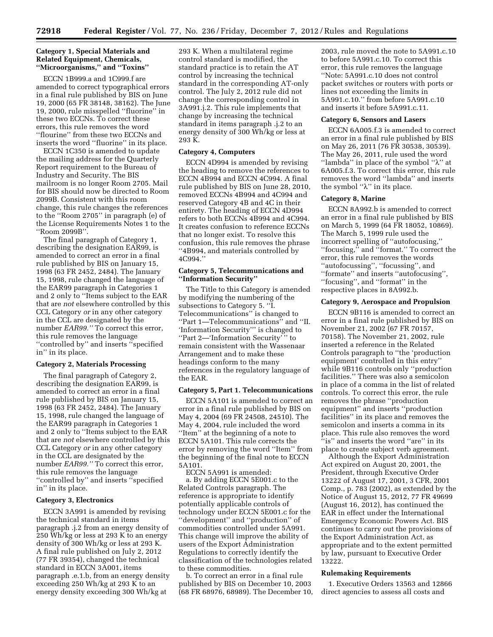## **Category 1, Special Materials and Related Equipment, Chemicals, ''Microorganisms,'' and ''Toxins''**

ECCN 1B999.a and 1C999.f are amended to correct typographical errors in a final rule published by BIS on June 19, 2000 (65 FR 38148, 38162). The June 19, 2000, rule misspelled ''fluorine'' in these two ECCNs. To correct these errors, this rule removes the word ''flourine'' from these two ECCNs and inserts the word ''fluorine'' in its place.

ECCN 1C350 is amended to update the mailing address for the Quarterly Report requirement to the Bureau of Industry and Security. The BIS mailroom is no longer Room 2705. Mail for BIS should now be directed to Room 2099B. Consistent with this room change, this rule changes the references to the ''Room 2705'' in paragraph (e) of the License Requirements Notes 1 to the ''Room 2099B''.

The final paragraph of Category 1, describing the designation EAR99, is amended to correct an error in a final rule published by BIS on January 15, 1998 (63 FR 2452, 2484). The January 15, 1998, rule changed the language of the EAR99 paragraph in Categories 1 and 2 only to ''Items subject to the EAR that are *not* elsewhere controlled by this CCL Category *or* in any other category in the CCL are designated by the number *EAR99.''* To correct this error, this rule removes the language ''controlled by'' and inserts ''specified in'' in its place.

#### **Category 2, Materials Processing**

The final paragraph of Category 2, describing the designation EAR99, is amended to correct an error in a final rule published by BIS on January 15, 1998 (63 FR 2452, 2484). The January 15, 1998, rule changed the language of the EAR99 paragraph in Categories 1 and 2 only to ''Items subject to the EAR that are *not* elsewhere controlled by this CCL Category *or* in any other category in the CCL are designated by the number *EAR99.''* To correct this error, this rule removes the language ''controlled by'' and inserts ''specified in'' in its place.

#### **Category 3, Electronics**

ECCN 3A991 is amended by revising the technical standard in items paragraph .j.2 from an energy density of 250 Wh/kg or less at 293 K to an energy density of 300 Wh/kg or less at 293 K. A final rule published on July 2, 2012 (77 FR 39354), changed the technical standard in ECCN 3A001, items paragraph .e.1.b, from an energy density exceeding 250 Wh/kg at 293 K to an energy density exceeding 300 Wh/kg at

293 K. When a multilateral regime control standard is modified, the standard practice is to retain the AT control by increasing the technical standard in the corresponding AT-only control. The July 2, 2012 rule did not change the corresponding control in 3A991.j.2. This rule implements that change by increasing the technical standard in items paragraph .j.2 to an energy density of 300 Wh/kg or less at 293 K.

#### **Category 4, Computers**

ECCN 4D994 is amended by revising the heading to remove the references to ECCN 4B994 and ECCN 4C994. A final rule published by BIS on June 28, 2010, removed ECCNs 4B994 and 4C994 and reserved Category 4B and 4C in their entirety. The heading of ECCN 4D994 refers to both ECCNs 4B994 and 4C994. It creates confusion to reference ECCNs that no longer exist. To resolve this confusion, this rule removes the phrase ''4B994, and materials controlled by 4C994.''

## **Category 5, Telecommunications and ''Information Security''**

The Title to this Category is amended by modifying the numbering of the subsections to Category 5. ''I. Telecommunications'' is changed to ''Part 1—Telecommunications'' and ''II. 'Information Security''' is changed to "Part 2—'Information Security" to remain consistent with the Wassenaar Arrangement and to make these headings conform to the many references in the regulatory language of the EAR.

## **Category 5, Part 1. Telecommunications**

ECCN 5A101 is amended to correct an error in a final rule published by BIS on May 4, 2004 (69 FR 24508, 24510). The May 4, 2004, rule included the word ''Item'' at the beginning of a note to ECCN 5A101. This rule corrects the error by removing the word ''Item'' from the beginning of the final note to ECCN 5A101.

ECCN 5A991 is amended: a. By adding ECCN 5E001.c to the Related Controls paragraph. The reference is appropriate to identify potentially applicable controls of technology under ECCN 5E001.c for the ''development'' and ''production'' of commodities controlled under 5A991. This change will improve the ability of users of the Export Administration Regulations to correctly identify the classification of the technologies related to these commodities.

b. To correct an error in a final rule published by BIS on December 10, 2003 (68 FR 68976, 68989). The December 10, 2003, rule moved the note to 5A991.c.10 to before 5A991.c.10. To correct this error, this rule removes the language ''Note: 5A991.c.10 does not control packet switches or routers with ports or lines not exceeding the limits in 5A991.c.10.'' from before 5A991.c.10 and inserts it before 5A991.c.11.

#### **Category 6, Sensors and Lasers**

ECCN 6A005.f.3 is amended to correct an error in a final rule published by BIS on May 26, 2011 (76 FR 30538, 30539). The May 26, 2011, rule used the word "lambda" in place of the symbol " $\lambda$ " at 6A005.f.3. To correct this error, this rule removes the word ''lambda'' and inserts the symbol " $\lambda$ " in its place.

## **Category 8, Marine**

ECCN 8A992.b is amended to correct an error in a final rule published by BIS on March 5, 1999 (64 FR 18052, 10869). The March 5, 1999 rule used the incorrect spelling of ''autofocusing,'' ''focusing,'' and ''format.'' To correct the error, this rule removes the words ''autofocussing'', ''focussing'', and ''formate'' and inserts ''autofocusing'', ''focusing'', and ''format'' in the respective places in 8A992.b.

#### **Category 9, Aerospace and Propulsion**

ECCN 9B116 is amended to correct an error in a final rule published by BIS on November 21, 2002 (67 FR 70157, 70158). The November 21, 2002, rule inserted a reference in the Related Controls paragraph to ''the 'production equipment' controlled in this entry'' while 9B116 controls only ''production facilities.'' There was also a semicolon in place of a comma in the list of related controls. To correct this error, the rule removes the phrase ''production equipment'' and inserts ''production facilities'' in its place and removes the semicolon and inserts a comma in its place. This rule also removes the word ''is'' and inserts the word ''are'' in its place to create subject verb agreement.

Although the Export Administration Act expired on August 20, 2001, the President, through Executive Order 13222 of August 17, 2001, 3 CFR, 2001 Comp., p. 783 (2002), as extended by the Notice of August 15, 2012, 77 FR 49699 (August 16, 2012), has continued the EAR in effect under the International Emergency Economic Powers Act. BIS continues to carry out the provisions of the Export Administration Act, as appropriate and to the extent permitted by law, pursuant to Executive Order 13222.

#### **Rulemaking Requirements**

1. Executive Orders 13563 and 12866 direct agencies to assess all costs and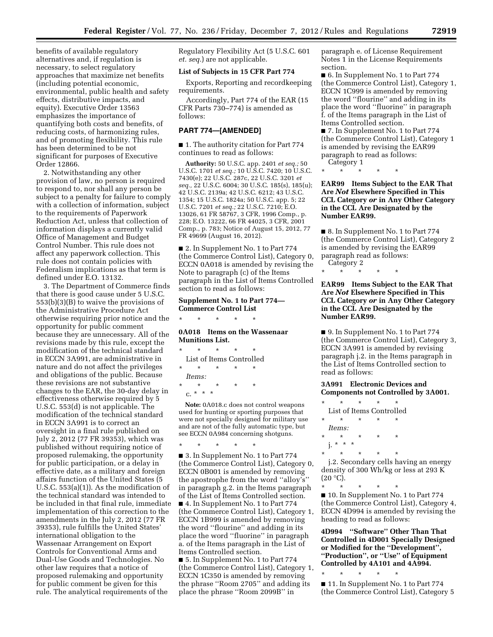benefits of available regulatory alternatives and, if regulation is necessary, to select regulatory approaches that maximize net benefits (including potential economic, environmental, public health and safety effects, distributive impacts, and equity). Executive Order 13563 emphasizes the importance of quantifying both costs and benefits, of reducing costs, of harmonizing rules, and of promoting flexibility. This rule has been determined to be not significant for purposes of Executive Order 12866.

2. Notwithstanding any other provision of law, no person is required to respond to, nor shall any person be subject to a penalty for failure to comply with a collection of information, subject to the requirements of Paperwork Reduction Act, unless that collection of information displays a currently valid Office of Management and Budget Control Number. This rule does not affect any paperwork collection. This rule does not contain policies with Federalism implications as that term is defined under E.O. 13132.

3. The Department of Commerce finds that there is good cause under 5 U.S.C. 553(b)(3)(B) to waive the provisions of the Administrative Procedure Act otherwise requiring prior notice and the opportunity for public comment because they are unnecessary. All of the revisions made by this rule, except the modification of the technical standard in ECCN 3A991, are administrative in nature and do not affect the privileges and obligations of the public. Because these revisions are not substantive changes to the EAR, the 30-day delay in effectiveness otherwise required by 5 U.S.C. 553(d) is not applicable. The modification of the technical standard in ECCN 3A991 is to correct an oversight in a final rule published on July 2, 2012 (77 FR 39353), which was published without requiring notice of proposed rulemaking, the opportunity for public participation, or a delay in effective date, as a military and foreign affairs function of the United States (5 U.S.C. 553(a)(1)). As the modification of the technical standard was intended to be included in that final rule, immediate implementation of this correction to the amendments in the July 2, 2012 (77 FR 39353), rule fulfills the United States' international obligation to the Wassenaar Arrangement on Export Controls for Conventional Arms and Dual-Use Goods and Technologies. No other law requires that a notice of proposed rulemaking and opportunity for public comment be given for this rule. The analytical requirements of the

Regulatory Flexibility Act (5 U.S.C. 601 *et. seq.*) are not applicable.

## **List of Subjects in 15 CFR Part 774**

Exports, Reporting and recordkeeping requirements.

Accordingly, Part 774 of the EAR (15 CFR Parts 730–774) is amended as follows:

## **PART 774—[AMENDED]**

■ 1. The authority citation for Part 774 continues to read as follows:

**Authority:** 50 U.S.C. app. 2401 *et seq.;* 50 U.S.C. 1701 *et seq.;* 10 U.S.C. 7420; 10 U.S.C. 7430(e); 22 U.S.C. 287c, 22 U.S.C. 3201 *et seq.,* 22 U.S.C. 6004; 30 U.S.C. 185(s), 185(u); 42 U.S.C. 2139a; 42 U.S.C. 6212; 43 U.S.C. 1354; 15 U.S.C. 1824a; 50 U.S.C. app. 5; 22 U.S.C. 7201 *et seq.;* 22 U.S.C. 7210; E.O. 13026, 61 FR 58767, 3 CFR, 1996 Comp., p. 228; E.O. 13222, 66 FR 44025, 3 CFR, 2001 Comp., p. 783; Notice of August 15, 2012, 77 FR 49699 (August 16, 2012).

■ 2. In Supplement No. 1 to Part 774 (the Commerce Control List), Category 0, ECCN 0A018 is amended by revising the Note to paragraph (c) of the Items paragraph in the List of Items Controlled section to read as follows:

## **Supplement No. 1 to Part 774— Commerce Control List**

\* \* \* \* \*

## **0A018 Items on the Wassenaar Munitions List.**

\* \* \* \* \* List of Items Controlled \* \* \* \* \* *Items:*  \* \* \* \* \* c. \* \* \*

**Note:** 0A018.c does not control weapons used for hunting or sporting purposes that were not specially designed for military use and are not of the fully automatic type, but see ECCN 0A984 concerning shotguns.

\* \* \* \* \*

■ 3. In Supplement No. 1 to Part 774 (the Commerce Control List), Category 0, ECCN 0B001 is amended by removing the apostrophe from the word ''alloy's'' in paragraph g.2. in the Items paragraph of the List of Items Controlled section. ■ 4. In Supplement No. 1 to Part 774 (the Commerce Control List), Category 1, ECCN 1B999 is amended by removing the word ''flourine'' and adding in its place the word ''fluorine'' in paragraph a. of the Items paragraph in the List of Items Controlled section.

■ 5. In Supplement No. 1 to Part 774 (the Commerce Control List), Category 1, ECCN 1C350 is amended by removing the phrase ''Room 2705'' and adding its place the phrase ''Room 2099B'' in

paragraph e. of License Requirement Notes 1 in the License Requirements section.

■ 6. In Supplement No. 1 to Part 774 (the Commerce Control List), Category 1, ECCN 1C999 is amended by removing the word ''flourine'' and adding in its place the word ''fluorine'' in paragraph f. of the Items paragraph in the List of Items Controlled section.

■ 7. In Supplement No. 1 to Part 774 (the Commerce Control List), Category 1 is amended by revising the EAR99 paragraph to read as follows: Category 1

\* \* \* \* \*

**EAR99 Items Subject to the EAR That Are** *Not* **Elsewhere Specified in This CCL Category** *or* **in Any Other Category in the CCL Are Designated by the Number EAR99.** 

■ 8. In Supplement No. 1 to Part 774 (the Commerce Control List), Category 2 is amended by revising the EAR99 paragraph read as follows: Category 2

\* \* \* \* \*

**EAR99 Items Subject to the EAR That Are** *Not* **Elsewhere Specified in This CCL Category** *or* **in Any Other Category in the CCL Are Designated by the Number EAR99.** 

■ 9. In Supplement No. 1 to Part 774 (the Commerce Control List), Category 3, ECCN 3A991 is amended by revising paragraph j.2. in the Items paragraph in the List of Items Controlled section to read as follows:

# **3A991 Electronic Devices and Components not Controlled by 3A001.**

| ÷                        | ÷ | ÷     | ÷ |  |
|--------------------------|---|-------|---|--|
| List of Items Controlled |   |       |   |  |
| ÷                        | ÷ | ÷     | ÷ |  |
| <i>Items:</i>            |   |       |   |  |
| ÷                        | ÷ | ÷     | ÷ |  |
| i.                       |   |       |   |  |
| ÷                        |   |       |   |  |
|                          |   | * * * |   |  |

j.2. Secondary cells having an energy density of 300 Wh/kg or less at 293 K  $(20 °C)$ .

\* \* \* \* \* ■ 10. In Supplement No. 1 to Part 774 (the Commerce Control List), Category 4, ECCN 4D994 is amended by revising the heading to read as follows:

**4D994 ''Software'' Other Than That Controlled in 4D001 Specially Designed or Modified for the ''Development'', ''Production'', or ''Use'' of Equipment Controlled by 4A101 and 4A994.** 

\* \* \* \* \*

■ 11. In Supplement No. 1 to Part 774 (the Commerce Control List), Category 5